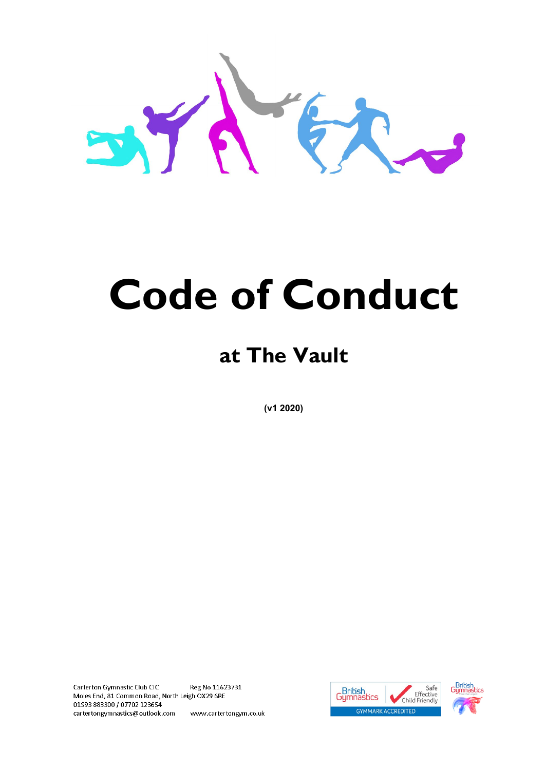

# **Code of Conduct**

# **at The Vault**

**(v1 2020)**

Carterton Gymnastic Club CIC Reg No 11623731 Moles End, 81 Common Road, North Leigh OX29 6RE 01993883300 / 07702 123654 cartertongymnastics@outlook.com www.cartertongym.co.uk



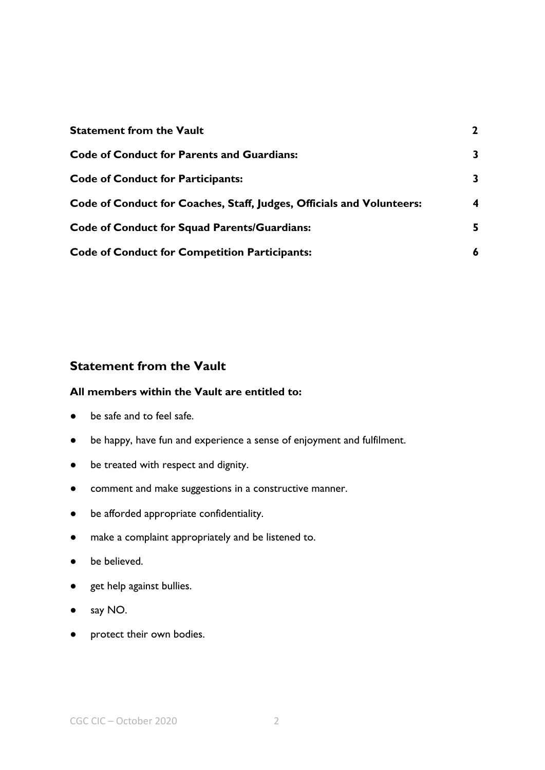| <b>Statement from the Vault</b>                                       | $\mathbf{2}$ |
|-----------------------------------------------------------------------|--------------|
| <b>Code of Conduct for Parents and Guardians:</b>                     | 3            |
| <b>Code of Conduct for Participants:</b>                              | 3            |
| Code of Conduct for Coaches, Staff, Judges, Officials and Volunteers: | 4            |
| <b>Code of Conduct for Squad Parents/Guardians:</b>                   | 5.           |
| <b>Code of Conduct for Competition Participants:</b>                  | 6            |

#### <span id="page-1-0"></span>**Statement from the Vault**

#### **All members within the Vault are entitled to:**

- be safe and to feel safe.
- be happy, have fun and experience a sense of enjoyment and fulfilment.
- be treated with respect and dignity.
- comment and make suggestions in a constructive manner.
- be afforded appropriate confidentiality.
- make a complaint appropriately and be listened to.
- be believed.
- get help against bullies.
- say NO.
- protect their own bodies.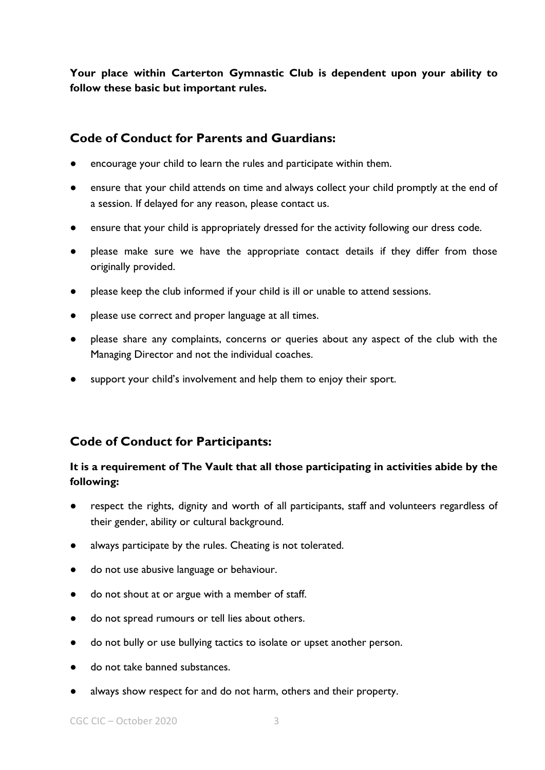**Your place within Carterton Gymnastic Club is dependent upon your ability to follow these basic but important rules.**

#### <span id="page-2-0"></span>**Code of Conduct for Parents and Guardians:**

- encourage your child to learn the rules and participate within them.
- ensure that your child attends on time and always collect your child promptly at the end of a session. If delayed for any reason, please contact us.
- ensure that your child is appropriately dressed for the activity following our dress code.
- please make sure we have the appropriate contact details if they differ from those originally provided.
- please keep the club informed if your child is ill or unable to attend sessions.
- please use correct and proper language at all times.
- please share any complaints, concerns or queries about any aspect of the club with the Managing Director and not the individual coaches.
- support your child's involvement and help them to enjoy their sport.

### <span id="page-2-1"></span>**Code of Conduct for Participants:**

#### **It is a requirement of The Vault that all those participating in activities abide by the following:**

- respect the rights, dignity and worth of all participants, staff and volunteers regardless of their gender, ability or cultural background.
- always participate by the rules. Cheating is not tolerated.
- do not use abusive language or behaviour.
- do not shout at or argue with a member of staff.
- do not spread rumours or tell lies about others.
- do not bully or use bullying tactics to isolate or upset another person.
- do not take banned substances.
- always show respect for and do not harm, others and their property.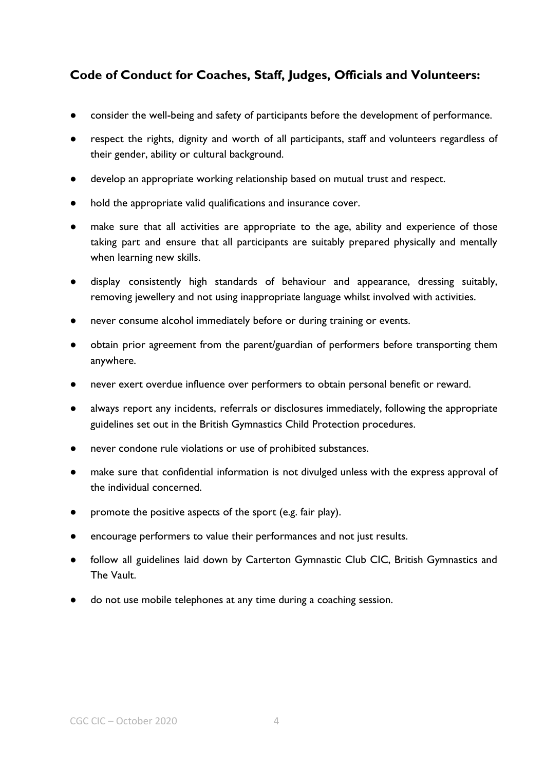# <span id="page-3-0"></span>**Code of Conduct for Coaches, Staff, Judges, Officials and Volunteers:**

- consider the well-being and safety of participants before the development of performance.
- respect the rights, dignity and worth of all participants, staff and volunteers regardless of their gender, ability or cultural background.
- develop an appropriate working relationship based on mutual trust and respect.
- hold the appropriate valid qualifications and insurance cover.
- make sure that all activities are appropriate to the age, ability and experience of those taking part and ensure that all participants are suitably prepared physically and mentally when learning new skills.
- display consistently high standards of behaviour and appearance, dressing suitably, removing jewellery and not using inappropriate language whilst involved with activities.
- never consume alcohol immediately before or during training or events.
- obtain prior agreement from the parent/guardian of performers before transporting them anywhere.
- never exert overdue influence over performers to obtain personal benefit or reward.
- always report any incidents, referrals or disclosures immediately, following the appropriate guidelines set out in the British Gymnastics Child Protection procedures.
- never condone rule violations or use of prohibited substances.
- make sure that confidential information is not divulged unless with the express approval of the individual concerned.
- promote the positive aspects of the sport (e.g. fair play).
- encourage performers to value their performances and not just results.
- follow all guidelines laid down by Carterton Gymnastic Club CIC, British Gymnastics and The Vault.
- do not use mobile telephones at any time during a coaching session.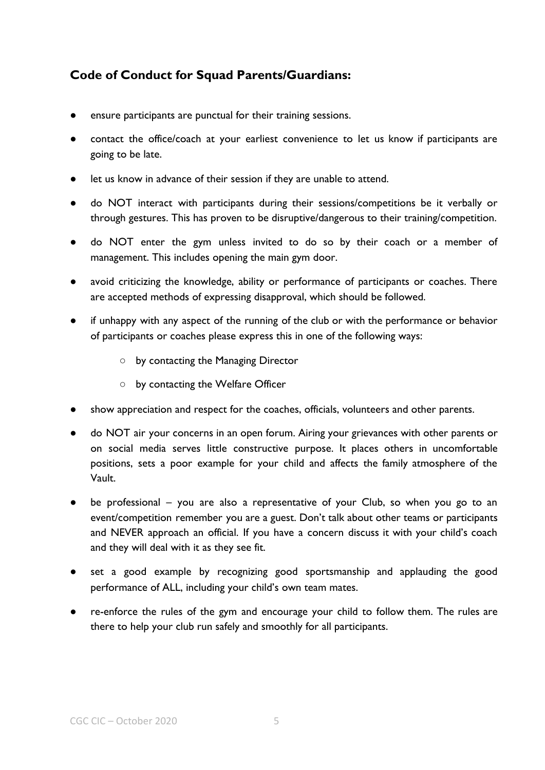### <span id="page-4-0"></span>**Code of Conduct for Squad Parents/Guardians:**

- ensure participants are punctual for their training sessions.
- contact the office/coach at your earliest convenience to let us know if participants are going to be late.
- let us know in advance of their session if they are unable to attend.
- do NOT interact with participants during their sessions/competitions be it verbally or through gestures. This has proven to be disruptive/dangerous to their training/competition.
- do NOT enter the gym unless invited to do so by their coach or a member of management. This includes opening the main gym door.
- avoid criticizing the knowledge, ability or performance of participants or coaches. There are accepted methods of expressing disapproval, which should be followed.
- if unhappy with any aspect of the running of the club or with the performance or behavior of participants or coaches please express this in one of the following ways:
	- by contacting the Managing Director
	- by contacting the Welfare Officer
- show appreciation and respect for the coaches, officials, volunteers and other parents.
- do NOT air your concerns in an open forum. Airing your grievances with other parents or on social media serves little constructive purpose. It places others in uncomfortable positions, sets a poor example for your child and affects the family atmosphere of the Vault.
- be professional you are also a representative of your Club, so when you go to an event/competition remember you are a guest. Don't talk about other teams or participants and NEVER approach an official. If you have a concern discuss it with your child's coach and they will deal with it as they see fit.
- set a good example by recognizing good sportsmanship and applauding the good performance of ALL, including your child's own team mates.
- re-enforce the rules of the gym and encourage your child to follow them. The rules are there to help your club run safely and smoothly for all participants.